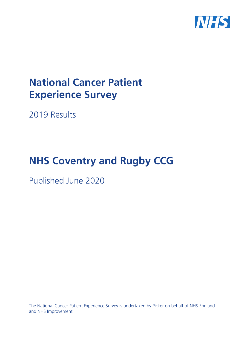

# **National Cancer Patient Experience Survey**

2019 Results

# **NHS Coventry and Rugby CCG**

Published June 2020

The National Cancer Patient Experience Survey is undertaken by Picker on behalf of NHS England and NHS Improvement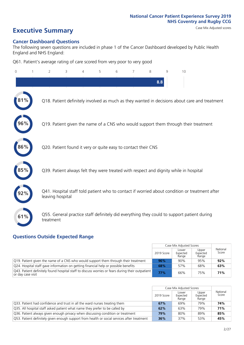# **Executive Summary** Case Mix Adjusted scores

#### **Cancer Dashboard Questions**

The following seven questions are included in phase 1 of the Cancer Dashboard developed by Public Health England and NHS England:

Q61. Patient's average rating of care scored from very poor to very good

| $\Omega$ | $\overline{2}$   | 3                                                             | 4 | 5 | 6 | 7 | 8   | 9 | 10                                                                                            |
|----------|------------------|---------------------------------------------------------------|---|---|---|---|-----|---|-----------------------------------------------------------------------------------------------|
|          |                  |                                                               |   |   |   |   | 8.8 |   |                                                                                               |
|          |                  |                                                               |   |   |   |   |     |   | Q18. Patient definitely involved as much as they wanted in decisions about care and treatment |
| 96%      |                  |                                                               |   |   |   |   |     |   | Q19. Patient given the name of a CNS who would support them through their treatment           |
| 86%      |                  | Q20. Patient found it very or quite easy to contact their CNS |   |   |   |   |     |   |                                                                                               |
| 85%      |                  |                                                               |   |   |   |   |     |   | Q39. Patient always felt they were treated with respect and dignity while in hospital         |
|          | leaving hospital |                                                               |   |   |   |   |     |   | Q41. Hospital staff told patient who to contact if worried about condition or treatment after |
| 61%      | treatment        |                                                               |   |   |   |   |     |   | Q55. General practice staff definitely did everything they could to support patient during    |

### **Questions Outside Expected Range**

|                                                                                                                        |            | Case Mix Adjusted Scores   |                            |                   |
|------------------------------------------------------------------------------------------------------------------------|------------|----------------------------|----------------------------|-------------------|
|                                                                                                                        | 2019 Score | Lower<br>Expected<br>Range | Upper<br>Expected<br>Range | National<br>Score |
| Q19. Patient given the name of a CNS who would support them through their treatment                                    | 96%        | 90%                        | 95%                        | 92%               |
| Q24. Hospital staff gave information on getting financial help or possible benefits                                    | 68%        | 57%                        | 68%                        | 63%               |
| [943] Patient definitely found hospital staff to discuss worries or fears during their outpatient<br>or day case visit | 77%        | 66%                        | 75%                        | 71%               |

|                                                                                             |            | Case Mix Adjusted Scores   |                            |                   |
|---------------------------------------------------------------------------------------------|------------|----------------------------|----------------------------|-------------------|
|                                                                                             | 2019 Score | Lower<br>Expected<br>Range | Upper<br>Expected<br>Range | National<br>Score |
| Q33. Patient had confidence and trust in all the ward nurses treating them                  | 67%        | 69%                        | 79%                        | 74%               |
| Q35. All hospital staff asked patient what name they prefer to be called by                 | 62%        | 63%                        | 79%                        | 71%               |
| Q36. Patient always given enough privacy when discussing condition or treatment             | 79%        | 80%                        | 89%                        | 85%               |
| Q53. Patient definitely given enough support from health or social services after treatment | 36%        | 37%                        | 53%                        | 45%               |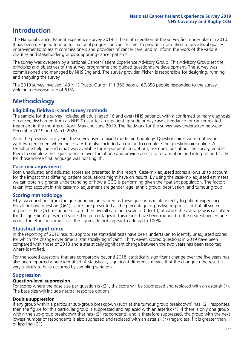# **Introduction**

The National Cancer Patient Experience Survey 2019 is the ninth iteration of the survey first undertaken in 2010. It has been designed to monitor national progress on cancer care; to provide information to drive local quality improvements; to assist commissioners and providers of cancer care; and to inform the work of the various charities and stakeholder groups supporting cancer patients.

The survey was overseen by a national Cancer Patient Experience Advisory Group. This Advisory Group set the principles and objectives of the survey programme and guided questionnaire development. The survey was commissioned and managed by NHS England. The survey provider, Picker, is responsible for designing, running and analysing the survey.

The 2019 survey involved 143 NHS Trusts. Out of 111,366 people, 67,858 people responded to the survey, yielding a response rate of 61%.

# **Methodology**

#### **Eligibility, eldwork and survey methods**

The sample for the survey included all adult (aged 16 and over) NHS patients, with a confirmed primary diagnosis of cancer, discharged from an NHS Trust after an inpatient episode or day case attendance for cancer related treatment in the months of April, May and June 2019. The fieldwork for the survey was undertaken between December 2019 and March 2020.

As in the previous four years, the survey used a mixed mode methodology. Questionnaires were sent by post, with two reminders where necessary, but also included an option to complete the questionnaire online. A Freephone helpline and email was available for respondents to opt out, ask questions about the survey, enable them to complete their questionnaire over the phone and provide access to a translation and interpreting facility for those whose first language was not English.

#### **Case-mix adjustment**

Both unadjusted and adjusted scores are presented in this report. Case-mix adjusted scores allows us to account for the impact that differing patient populations might have on results. By using the case-mix adjusted estimates we can obtain a greater understanding of how a CCG is performing given their patient population. The factors taken into account in this case-mix adjustment are gender, age, ethnic group, deprivation, and tumour group.

#### **Scoring methodology**

Fifty-two questions from the questionnaire are scored as these questions relate directly to patient experience. For all but one question (Q61), scores are presented as the percentage of positive responses out of all scored responses. For Q61, respondents rate their overall care on a scale of 0 to 10, of which the average was calculated for this question's presented score. The percentages in this report have been rounded to the nearest percentage point. Therefore, in some cases the figures do not appear to add up to 100%.

#### **Statistical significance**

In the reporting of 2019 results, appropriate statistical tests have been undertaken to identify unadjusted scores for which the change over time is 'statistically significant'. Thirty-seven scored questions in 2019 have been compared with those of 2018 and a statistically significant change between the two years has been reported where identified.

For the scored questions that are comparable beyond 2018, statistically significant change over the five years has also been reported where identified. A statistically significant difference means that the change in the result is very unlikely to have occurred by sampling variation.

#### **Suppression**

#### **Question-level suppression**

For scores where the base size per question is  $<$ 21, the score will be suppressed and replaced with an asterisk (\*). The base size will include neutral response options.

#### **Double suppression**

If any group within a particular sub-group breakdown (such as the tumour group breakdown) has <21 responses, then the figure for this particular group is suppressed and replaced with an asterisk (\*). If there is only one group within the sub-group breakdown that has <21 respondents, and is therefore suppressed, the group with the next lowest number of respondents is also supressed and replaced with an asterisk (\*) (regardless if it is greater than or less than 21).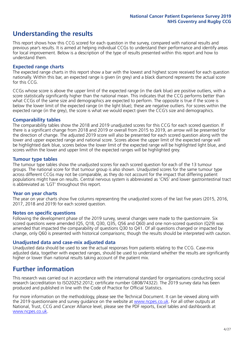# **Understanding the results**

This report shows how this CCG scored for each question in the survey, compared with national results and previous year's results. It is aimed at helping individual CCGs to understand their performance and identify areas for local improvement. Below is a description of the type of results presented within this report and how to understand them.

#### **Expected range charts**

The expected range charts in this report show a bar with the lowest and highest score received for each question nationally. Within this bar, an expected range is given (in grey) and a black diamond represents the actual score for this CCG.

CCGs whose score is above the upper limit of the expected range (in the dark blue) are positive outliers, with a score statistically significantly higher than the national mean. This indicates that the CCG performs better than what CCGs of the same size and demographics are expected to perform. The opposite is true if the score is below the lower limit of the expected range (in the light blue); these are negative outliers. For scores within the expected range (in the grey), the score is what we would expect given the CCG's size and demographics.

#### **Comparability tables**

The comparability tables show the 2018 and 2019 unadjusted scores for this CCG for each scored question. If there is a significant change from 2018 and 2019 or overall from 2015 to 2019, an arrow will be presented for the direction of change. The adjusted 2019 score will also be presented for each scored question along with the lower and upper expected range and national score. Scores above the upper limit of the expected range will be highlighted dark blue, scores below the lower limit of the expected range will be highlighted light blue, and scores within the lower and upper limit of the expected ranges will be highlighted grey.

#### **Tumour type tables**

The tumour type tables show the unadjusted scores for each scored question for each of the 13 tumour groups. The national score for that tumour group is also shown. Unadjusted scores for the same tumour type across different CCGs may not be comparable, as they do not account for the impact that differing patient populations might have on results. Central nervous system is abbreviated as 'CNS' and lower gastrointestinal tract is abbreviated as 'LGT' throughout this report.

#### **Year on year charts**

The year on year charts show five columns representing the unadjusted scores of the last five years (2015, 2016, 2017, 2018 and 2019) for each scored question.

#### **Notes on specific questions**

Following the development phase of the 2019 survey, several changes were made to the questionnaire. Six scored questions were amended (Q5, Q18, Q30, Q35, Q56 and Q60) and one non-scored question (Q29) was amended that impacted the comparability of questions Q30 to Q41. Of all questions changed or impacted by change, only Q60 is presented with historical comparisons; though the results should be interpreted with caution.

#### **Unadjusted data and case-mix adjusted data**

Unadjusted data should be used to see the actual responses from patients relating to the CCG. Case-mix adjusted data, together with expected ranges, should be used to understand whether the results are significantly higher or lower than national results taking account of the patient mix.

## **Further information**

This research was carried out in accordance with the international standard for organisations conducting social research (accreditation to ISO20252:2012; certificate number GB08/74322). The 2019 survey data has been produced and published in line with the Code of Practice for Official Statistics.

For more information on the methodology, please see the Technical Document. It can be viewed along with the 2019 questionnaire and survey quidance on the website at [www.ncpes.co.uk](https://www.ncpes.co.uk/supporting-documents). For all other outputs at National, Trust, CCG and Cancer Alliance level, please see the PDF reports, Excel tables and dashboards at [www.ncpes.co.uk.](https://www.ncpes.co.uk/current-results)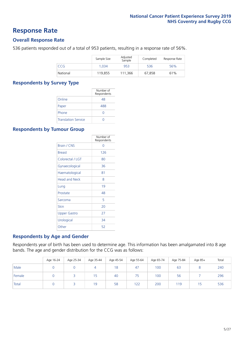### **Response Rate**

#### **Overall Response Rate**

536 patients responded out of a total of 953 patients, resulting in a response rate of 56%.

|          | Sample Size | Adjusted<br>Sample | Completed | Response Rate |
|----------|-------------|--------------------|-----------|---------------|
| CCG      | 1.034       | 953                | 536       | 56%           |
| National | 119,855     | 111.366            | 67,858    | 61%           |

#### **Respondents by Survey Type**

|                            | Number of<br>Respondents |
|----------------------------|--------------------------|
| Online                     | 48                       |
| Paper                      | 488                      |
| Phone                      |                          |
| <b>Translation Service</b> |                          |

#### **Respondents by Tumour Group**

|                      | Number of<br>Respondents |
|----------------------|--------------------------|
| Brain / CNS          | ∩                        |
| <b>Breast</b>        | 126                      |
| Colorectal / LGT     | 80                       |
| Gynaecological       | 36                       |
| Haematological       | 81                       |
| <b>Head and Neck</b> | 8                        |
| Lung                 | 19                       |
| Prostate             | 48                       |
| Sarcoma              | 5                        |
| Skin                 | 20                       |
| Upper Gastro         | 27                       |
| Urological           | 34                       |
| Other                | 52                       |

#### **Respondents by Age and Gender**

Respondents year of birth has been used to determine age. This information has been amalgamated into 8 age bands. The age and gender distribution for the CCG was as follows:

|        | Age 16-24 | Age 25-34 | Age 35-44 | Age 45-54 | Age 55-64 | Age 65-74 | Age 75-84 | Age 85+ | Total |
|--------|-----------|-----------|-----------|-----------|-----------|-----------|-----------|---------|-------|
| Male   |           |           |           | 18        | 47        | 100       | 63        |         | 240   |
| Female |           |           | 15        | 40        | 75        | 100       | 56        |         | 296   |
| Total  |           |           | 19        | 58        | 122       | 200       | 119       | 15      | 536   |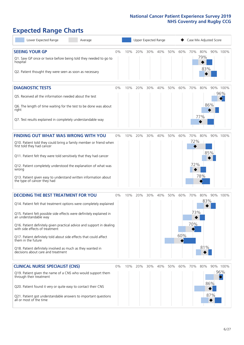# **Expected Range Charts**

| Lower Expected Range<br>Average                                                                                                                                                                                                                                                                                                                                                                                                                                                                                             | Upper Expected Range<br>Case Mix Adjusted Score |     |     |     |     |     |            |                   |                   |            |                 |
|-----------------------------------------------------------------------------------------------------------------------------------------------------------------------------------------------------------------------------------------------------------------------------------------------------------------------------------------------------------------------------------------------------------------------------------------------------------------------------------------------------------------------------|-------------------------------------------------|-----|-----|-----|-----|-----|------------|-------------------|-------------------|------------|-----------------|
| <b>SEEING YOUR GP</b><br>Q1. Saw GP once or twice before being told they needed to go to<br>hospital<br>Q2. Patient thought they were seen as soon as necessary                                                                                                                                                                                                                                                                                                                                                             | 0%                                              | 10% | 20% | 30% | 40% | 50% | 60%        | 70%               | 80%<br>79%<br>83% |            | 90% 100%        |
| <b>DIAGNOSTIC TESTS</b><br>Q5. Received all the information needed about the test<br>Q6. The length of time waiting for the test to be done was about<br>right<br>Q7. Test results explained in completely understandable way                                                                                                                                                                                                                                                                                               | $0\%$                                           | 10% | 20% | 30% | 40% | 50% | 60%        | 70%               | 80%<br>77%        | 86%        | 90% 100%<br>96% |
| <b>FINDING OUT WHAT WAS WRONG WITH YOU</b><br>Q10. Patient told they could bring a family member or friend when<br>first told they had cancer<br>Q11. Patient felt they were told sensitively that they had cancer<br>Q12. Patient completely understood the explanation of what was<br>wrong<br>Q13. Patient given easy to understand written information about<br>the type of cancer they had                                                                                                                             | 0%                                              | 10% | 20% | 30% | 40% | 50% | 60%        | 70%<br>72%<br>72% | 80%<br>78%        | 85%        | 90% 100%        |
| <b>DECIDING THE BEST TREATMENT FOR YOU</b><br>Q14. Patient felt that treatment options were completely explained<br>Q15. Patient felt possible side effects were definitely explained in<br>an understandable way<br>Q16. Patient definitely given practical advice and support in dealing<br>with side effects of treatment<br>Q17. Patient definitely told about side effects that could affect<br>them in the future<br>Q18. Patient definitely involved as much as they wanted in<br>decisions about care and treatment | 0%                                              | 10% | 20% | 30% | 40% | 50% | 60%<br>60% | 70%<br>73%<br>70% | 80%<br>83%<br>81% |            | 90% 100%        |
| <b>CLINICAL NURSE SPECIALIST (CNS)</b><br>Q19. Patient given the name of a CNS who would support them<br>through their treatment<br>Q20. Patient found it very or quite easy to contact their CNS<br>Q21. Patient got understandable answers to important questions<br>all or most of the time                                                                                                                                                                                                                              | 0%                                              | 10% | 20% | 30% | 40% | 50% | 60%        | 70%               | 80%               | 86%<br>87% | 90% 100%<br>96% |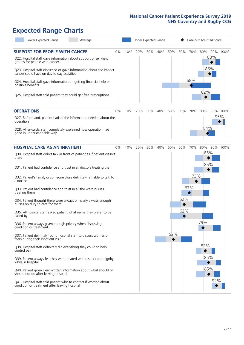# **Expected Range Charts**

| Lower Expected Range<br>Average                                                                                                                                                                                                                                                                                                                                                                                               |    |     |     |     | Upper Expected Range |     |          |            | Case Mix Adjusted Score |     |          |
|-------------------------------------------------------------------------------------------------------------------------------------------------------------------------------------------------------------------------------------------------------------------------------------------------------------------------------------------------------------------------------------------------------------------------------|----|-----|-----|-----|----------------------|-----|----------|------------|-------------------------|-----|----------|
| <b>SUPPORT FOR PEOPLE WITH CANCER</b><br>Q22. Hospital staff gave information about support or self-help<br>groups for people with cancer<br>Q23. Hospital staff discussed or gave information about the impact<br>cancer could have on day to day activities<br>Q24. Hospital staff gave information on getting financial help or<br>possible benefits<br>Q25. Hospital staff told patient they could get free prescriptions | 0% | 10% | 20% | 30% | 40%                  | 50% | 60%      | 70%<br>68% | 80%<br>86%<br>82%       | 88% | 90% 100% |
| <b>OPERATIONS</b><br>Q27. Beforehand, patient had all the information needed about the<br>operation                                                                                                                                                                                                                                                                                                                           | 0% | 10% | 20% | 30% | 40%                  | 50% | 60%      | 70%        | 80%                     | 95% | 90% 100% |
| Q28. Afterwards, staff completely explained how operation had<br>gone in understandable way                                                                                                                                                                                                                                                                                                                                   |    |     |     |     |                      |     |          |            | 84%                     |     |          |
| <b>HOSPITAL CARE AS AN INPATIENT</b>                                                                                                                                                                                                                                                                                                                                                                                          | 0% | 10% | 20% | 30% | 40%                  | 50% | 60%      | 70%        | 80%                     |     | 90% 100% |
| Q30. Hospital staff didn't talk in front of patient as if patient wasn't<br>there<br>Q31. Patient had confidence and trust in all doctors treating them                                                                                                                                                                                                                                                                       |    |     |     |     |                      |     |          |            | 85%<br>85%              |     |          |
| Q32. Patient's family or someone close definitely felt able to talk to<br>a doctor                                                                                                                                                                                                                                                                                                                                            |    |     |     |     |                      |     |          | 73%        |                         |     |          |
| Q33. Patient had confidence and trust in all the ward nurses<br>treating them                                                                                                                                                                                                                                                                                                                                                 |    |     |     |     |                      |     |          | 67%        |                         |     |          |
| Q34. Patient thought there were always or nearly always enough<br>nurses on duty to care for them                                                                                                                                                                                                                                                                                                                             |    |     |     |     |                      |     | 62%<br>◆ |            |                         |     |          |
| Q35. All hospital staff asked patient what name they prefer to be<br>called by                                                                                                                                                                                                                                                                                                                                                |    |     |     |     |                      |     | 62%      |            |                         |     |          |
| Q36. Patient always given enough privacy when discussing<br>condition or treatment                                                                                                                                                                                                                                                                                                                                            |    |     |     |     |                      |     |          |            | 79%                     |     |          |
| Q37. Patient definitely found hospital staff to discuss worries or<br>fears during their inpatient visit                                                                                                                                                                                                                                                                                                                      |    |     |     |     |                      | 52% |          |            |                         |     |          |
| Q38. Hospital staff definitely did everything they could to help<br>control pain                                                                                                                                                                                                                                                                                                                                              |    |     |     |     |                      |     |          |            | 82%                     |     |          |
| Q39. Patient always felt they were treated with respect and dignity<br>while in hospital                                                                                                                                                                                                                                                                                                                                      |    |     |     |     |                      |     |          |            | 85%                     |     |          |
| Q40. Patient given clear written information about what should or<br>should not do after leaving hospital                                                                                                                                                                                                                                                                                                                     |    |     |     |     |                      |     |          |            | 85%                     |     |          |
| Q41. Hospital staff told patient who to contact if worried about<br>condition or treatment after leaving hospital                                                                                                                                                                                                                                                                                                             |    |     |     |     |                      |     |          |            |                         | 92% |          |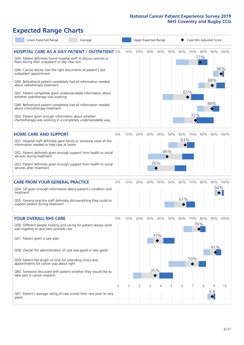## **Expected Range Charts**

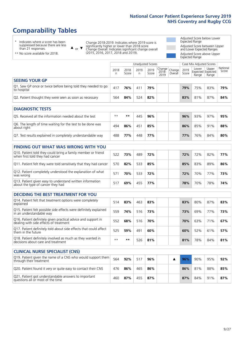# **Comparability Tables**

**CLINICAL NURSE SPECIALIST (CNS)**

\* Indicates where a score has been suppressed because there are less than 21 responses.

\*\* No score available for 2018.

or  $\blacktriangledown$  $\blacktriangle$ 

Change 2018-2019: Indicates where 2019 score is significantly higher or lower than 2018 score Change Overall: Indicates significant change overall (2015, 2016, 2017, 2018 and 2019).

Adjusted Score below Lower Expected Range Adjusted Score between Upper and Lower Expected Ranges Adjusted Score above Upper Expected Range

|                                                                             |           |               | Unadjusted Scores |               |                                                    |         |               | Case Mix Adjusted Scores |                                     |                   |
|-----------------------------------------------------------------------------|-----------|---------------|-------------------|---------------|----------------------------------------------------|---------|---------------|--------------------------|-------------------------------------|-------------------|
|                                                                             | 2018<br>n | 2018<br>Score | 2019<br>n         | 2019<br>Score | $\sqrt{(\text{Change})^2}$ Change<br>2018-<br>2019 | Overall | 2019<br>Score | Lower<br>Range           | Upper<br>Expected Expected<br>Range | National<br>Score |
| <b>SEEING YOUR GP</b>                                                       |           |               |                   |               |                                                    |         |               |                          |                                     |                   |
| Q1. Saw GP once or twice before being told they needed to go<br>to hospital | 417       | 76%           | 411               | 79%           |                                                    |         | 79%           | 75%                      | 83%                                 | 79%               |
| Q2. Patient thought they were seen as soon as necessary                     | 564       | 84%           | 524               | 82%           |                                                    |         | 83%           | 81%                      | 87%                                 | 84%               |
| <b>DIAGNOSTIC TESTS</b>                                                     |           |               |                   |               |                                                    |         |               |                          |                                     |                   |

| -----------------------                                                   |      |     |     |     |  |     |     |     |     |
|---------------------------------------------------------------------------|------|-----|-----|-----|--|-----|-----|-----|-----|
| Q5. Received all the information needed about the test                    | $**$ | **  | 445 | 96% |  | 96% | 93% | 97% | 95% |
| Q6. The length of time waiting for the test to be done was<br>about right | 494  | 86% | 451 | 85% |  | 86% | 85% | 91% | 88% |
| Q7. Test results explained in completely understandable way               | 488  | 77% | 448 | 77% |  | 77% | 76% | 84% | 80% |

#### **FINDING OUT WHAT WAS WRONG WITH YOU** Q10. Patient told they could bring a family member or friend when first told they had cancer <sup>522</sup> **73%** <sup>489</sup> **72% 72%** 72% 82% **77%** Q11. Patient felt they were told sensitively that they had cancer 570 **82%** 533 **85% 85%** 83% 89% **86%** Q12. Patient completely understood the explanation of what was wrong 571 **70%** 533 **72% 72%** 70% 77% **73%** Q13. Patient given easy to understand written information about the type of cancer they had <sup>517</sup> **69%** <sup>455</sup> **77% 78%** 70% 78% **74%**

| <b>DECIDING THE BEST TREATMENT FOR YOU</b>                                                              |      |     |     |     |     |     |     |     |
|---------------------------------------------------------------------------------------------------------|------|-----|-----|-----|-----|-----|-----|-----|
| Q14. Patient felt that treatment options were completely<br>explained                                   | 514  | 83% | 463 | 83% | 83% | 80% | 87% | 83% |
| Q15. Patient felt possible side effects were definitely explained<br>in an understandable way           | 559  | 74% | 516 | 73% | 73% | 69% | 77% | 73% |
| Q16. Patient definitely given practical advice and support in<br>dealing with side effects of treatment | 552  | 68% | 516 | 70% | 70% | 63% | 71% | 67% |
| Q17. Patient definitely told about side effects that could affect<br>them in the future                 | 525  | 59% | 491 | 60% | 60% | 52% | 61% | 57% |
| Q18. Patient definitely involved as much as they wanted in<br>decisions about care and treatment        | $**$ | **  | 526 | 81% | 81% | 78% | 84% | 81% |

| <b>CLINICAL NURSE SPECIALIST (CNS)</b>                                                    |     |     |     |     |  |     |     |     |     |
|-------------------------------------------------------------------------------------------|-----|-----|-----|-----|--|-----|-----|-----|-----|
| Q19. Patient given the name of a CNS who would support them<br>through their treatment    | 564 | 92% | 517 | 96% |  | 96% | 90% | 95% | 92% |
| Q20. Patient found it very or quite easy to contact their CNS                             | 476 | 86% | 465 | 86% |  | 86% | 81% | 88% | 85% |
| Q21. Patient got understandable answers to important<br>questions all or most of the time | 460 | 87% | 455 | 87% |  | 87% | 84% | 91% | 87% |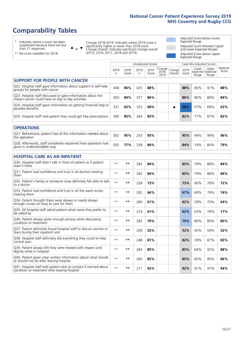# **Comparability Tables**

\* Indicates where a score has been suppressed because there are less than 21 responses.

\*\* No score available for 2018.

 $\triangle$  or  $\nabla$ 

Change 2018-2019: Indicates where 2019 score is significantly higher or lower than 2018 score Change Overall: Indicates significant change overall (2015, 2016, 2017, 2018 and 2019).

Adjusted Score below Lower Expected Range Adjusted Score between Upper and Lower Expected Ranges Adjusted Score above Upper Expected Range

|                                                                                                                   |              |               | <b>Unadjusted Scores</b> |               |                         |                   |               | Case Mix Adjusted Scores            |                |                   |
|-------------------------------------------------------------------------------------------------------------------|--------------|---------------|--------------------------|---------------|-------------------------|-------------------|---------------|-------------------------------------|----------------|-------------------|
|                                                                                                                   | 2018<br>n    | 2018<br>Score | 2019<br>n                | 2019<br>Score | Change<br>2018-<br>2019 | Change<br>Overall | 2019<br>Score | Lower<br>Expected Expected<br>Range | Upper<br>Range | National<br>Score |
| <b>SUPPORT FOR PEOPLE WITH CANCER</b>                                                                             |              |               |                          |               |                         |                   |               |                                     |                |                   |
| Q22. Hospital staff gave information about support or self-help<br>groups for people with cancer                  | 448          | 85%           | 425                      | 88%           |                         |                   | 88%           | 85%                                 | 91%            | 88%               |
| Q23. Hospital staff discussed or gave information about the<br>impact cancer could have on day to day activities  | 403          | 84%           | 377                      | 86%           |                         |                   | 86%           | 80%                                 | 88%            | 84%               |
| Q24. Hospital staff gave information on getting financial help or<br>possible benefits                            | 331          | 65%           | 325                      | 68%           |                         | ▲                 | 68%           | 57%                                 | 68%            | 63%               |
| Q25. Hospital staff told patient they could get free prescriptions                                                | 285          | 85%           | 264                      | 83%           |                         |                   | 82%           | 77%                                 | 87%            | 82%               |
| <b>OPERATIONS</b>                                                                                                 |              |               |                          |               |                         |                   |               |                                     |                |                   |
| Q27. Beforehand, patient had all the information needed about<br>the operation                                    | 302          | 95%           | 253                      | 95%           |                         |                   | 95%           | 94%                                 | 99%            | 96%               |
| Q28. Afterwards, staff completely explained how operation had<br>gone in understandable way                       | 302          | 77%           | 258                      | 84%           |                         |                   | 84%           | 74%                                 | 84%            | 79%               |
| <b>HOSPITAL CARE AS AN INPATIENT</b>                                                                              |              |               |                          |               |                         |                   |               |                                     |                |                   |
| Q30. Hospital staff didn't talk in front of patient as if patient<br>wasn't there                                 | $* *$        | $***$         | 282                      | 84%           |                         |                   | 85%           | 79%                                 | 88%            | 84%               |
| Q31. Patient had confidence and trust in all doctors treating<br>them                                             | $* *$        | $***$         | 282                      | 84%           |                         |                   | 85%           | 79%                                 | 88%            | 84%               |
| Q32. Patient's family or someone close definitely felt able to talk<br>to a doctor                                | $**$         | $***$         | 228                      | 73%           |                         |                   | 73%           | 66%                                 | 78%            | 72%               |
| Q33. Patient had confidence and trust in all the ward nurses<br>treating them                                     | $**$         | $***$         | 282                      | 66%           |                         |                   | 67%           | 69%                                 | 79%            | 74%               |
| Q34. Patient thought there were always or nearly always<br>enough nurses on duty to care for them                 | $* *$        | $***$         | 280                      | 61%           |                         |                   | 62%           | 59%                                 | 70%            | 64%               |
| Q35. All hospital staff asked patient what name they prefer to<br>be called by                                    | $**$         | **            | 274                      | 61%           |                         |                   | 62%           | 63%                                 | 79%            | 71%               |
| Q36. Patient always given enough privacy when discussing<br>condition or treatment                                | $* *$        | $***$         | 282                      | 79%           |                         |                   | 79%           | 80%                                 | 89%            | 85%               |
| Q37. Patient definitely found hospital staff to discuss worries or<br>fears during their inpatient visit          | $**$         | $***$         | 209                      | 52%           |                         |                   | 52%           | 45%                                 | 59%            | 52%               |
| Q38. Hospital staff definitely did everything they could to help<br>control pain                                  | $* *$        | $**$          | 248                      | 81%           |                         |                   | 82%           | 78%                                 | 87%            | 83%               |
| Q39. Patient always felt they were treated with respect and<br>dignity while in hospital                          | $\star\star$ | $***$         | 284                      | 85%           |                         |                   | 85%           | 84%                                 | 92%            | 88%               |
| Q40. Patient given clear written information about what should<br>or should not do after leaving hospital         | $**$         | $***$         | 260                      | 85%           |                         |                   | 85%           | 82%                                 | 90%            | 86%               |
| Q41. Hospital staff told patient who to contact if worried about<br>condition or treatment after leaving hospital | $**$         | $***$         | 271                      | 92%           |                         |                   | 92%           | 91%                                 | 97%            | 94%               |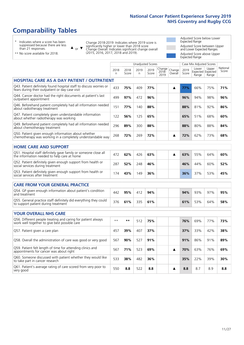# **Comparability Tables**

\* Indicates where a score has been suppressed because there are less than 21 responses.

 $\triangle$  or  $\nabla$ 

Change 2018-2019: Indicates where 2019 score is significantly higher or lower than 2018 score Change Overall: Indicates significant change overall (2015, 2016, 2017, 2018 and 2019).

Adjusted Score below Lower Expected Range Adjusted Score between Upper and Lower Expected Ranges Adjusted Score above Upper Expected Range

\*\* No score available for 2018.

|                                                                                                                       |              |               |            | <b>Unadjusted Scores</b> |                         |                   |               | Case Mix Adjusted Scores |                                     |                   |
|-----------------------------------------------------------------------------------------------------------------------|--------------|---------------|------------|--------------------------|-------------------------|-------------------|---------------|--------------------------|-------------------------------------|-------------------|
|                                                                                                                       | 2018<br>n    | 2018<br>Score | 2019<br>n. | 2019<br>Score            | Change<br>2018-<br>2019 | Change<br>Overall | 2019<br>Score | Lower<br>Range           | Upper<br>Expected Expected<br>Range | National<br>Score |
| <b>HOSPITAL CARE AS A DAY PATIENT / OUTPATIENT</b>                                                                    |              |               |            |                          |                         |                   |               |                          |                                     |                   |
| Q43. Patient definitely found hospital staff to discuss worries or<br>fears during their outpatient or day case visit | 433          | 75%           | 409        | 77%                      |                         | ▲                 | 77%           | 66%                      | 75%                                 | 71%               |
| Q44. Cancer doctor had the right documents at patient's last<br>outpatient appointment                                | 499          | 97%           | 472        | 96%                      |                         |                   | 96%           | 94%                      | 98%                                 | 96%               |
| Q46. Beforehand patient completely had all information needed<br>about radiotherapy treatment                         | 151          | 77%           | 140        | 88%                      |                         |                   | 88%           | 81%                      | 92%                                 | 86%               |
| Q47. Patient completely given understandable information<br>about whether radiotherapy was working                    | 122          | 56%           | 125        | 65%                      |                         |                   | 65%           | 51%                      | 68%                                 | 60%               |
| Q49. Beforehand patient completely had all information needed<br>about chemotherapy treatment                         | 296          | 89%           | 300        | 88%                      |                         |                   | 88%           | 80%                      | 88%                                 | 84%               |
| Q50. Patient given enough information about whether<br>chemotherapy was working in a completely understandable way    | 268          | 72%           | 269        | 72%                      |                         | ▲                 | 72%           | 62%                      | 73%                                 | 68%               |
| <b>HOME CARE AND SUPPORT</b>                                                                                          |              |               |            |                          |                         |                   |               |                          |                                     |                   |
| Q51. Hospital staff definitely gave family or someone close all<br>the information needed to help care at home        | 472          | 62%           | 426        | 63%                      |                         | ▲                 | 63%           | 55%                      | 64%                                 | 60%               |
| Q52. Patient definitely given enough support from health or<br>social services during treatment                       | 287          | 52%           | 248        | 46%                      |                         |                   | 46%           | 44%                      | 60%                                 | 52%               |
| Q53. Patient definitely given enough support from health or<br>social services after treatment                        | 174          | 43%           | 149        | 36%                      |                         |                   | 36%           | 37%                      | 53%                                 | 45%               |
| <b>CARE FROM YOUR GENERAL PRACTICE</b>                                                                                |              |               |            |                          |                         |                   |               |                          |                                     |                   |
| Q54. GP given enough information about patient's condition<br>and treatment                                           | 442          | 95%           | 412        | 94%                      |                         |                   | 94%           | 93%                      | 97%                                 | 95%               |
| Q55. General practice staff definitely did everything they could<br>to support patient during treatment               | 376          | 61%           | 335        | 61%                      |                         |                   | 61%           | 53%                      | 64%                                 | 58%               |
| <b>YOUR OVERALL NHS CARE</b>                                                                                          |              |               |            |                          |                         |                   |               |                          |                                     |                   |
| Q56. Different people treating and caring for patient always                                                          | $\star\star$ | $***$         |            | 75%                      |                         |                   | 76%           | 69%                      | 77%                                 | 73%               |
| work well together to give best possible care                                                                         |              |               | 512        |                          |                         |                   |               |                          |                                     |                   |
| Q57. Patient given a care plan                                                                                        | 457          | 39%           | 407        | 37%                      |                         |                   | 37%           | 33%                      | 42%                                 | 38%               |
| Q58. Overall the administration of care was good or very good                                                         | 567          | 90%           | 527        | 91%                      |                         |                   | 91%           | 86%                      | 91%                                 | 89%               |
| Q59. Patient felt length of time for attending clinics and<br>appointments for cancer was about right                 | 567          | 71%           | 523        | 69%                      |                         | ▲                 | 70%           | 63%                      | 76%                                 | 69%               |
| Q60. Someone discussed with patient whether they would like<br>to take part in cancer research                        | 533          | 38%           | 482        | 36%                      |                         |                   | 35%           | 22%                      | 39%                                 | 30%               |
| Q61. Patient's average rating of care scored from very poor to<br>very good                                           | 550          | 8.8           | 522        | 8.8                      |                         | ▲                 | 8.8           | 8.7                      | 8.9                                 | 8.8               |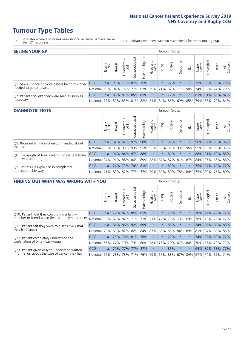- \* Indicates where a score has been suppressed because there are less than 21 responses.
- n.a. Indicates that there were no respondents for that tumour group.

| <b>SEEING YOUR GP</b>                           |            |       |                      |                   |                    |                |                  |                                 | Tumour Group |         |                                                     |                 |                 |       |                |
|-------------------------------------------------|------------|-------|----------------------|-------------------|--------------------|----------------|------------------|---------------------------------|--------------|---------|-----------------------------------------------------|-----------------|-----------------|-------|----------------|
|                                                 |            | Brain | <b>Breast</b>        | Colorectal<br>LGT | ᠊ᢛ<br>Gynaecologic | Haematological | Head and<br>Neck | Lung                            | Prostate     | Sarcoma | Skin                                                | Upper<br>Gastro | Irologica       | Other | All<br>Cancers |
| Q1. Saw GP once or twice before being told they | <b>CCG</b> |       | n.a. 95% 71% 87% 75% |                   |                    |                | $\star$          | $^\star$                        | 77%          | $\star$ |                                                     |                 | 75% 85% 56% 79% |       |                |
| needed to go to hospital                        | National I |       |                      |                   |                    |                |                  | 59% 94% 75% 77% 67% 79% 71% 82% |              |         | 71% 90% 74% 83% 74% 79%                             |                 |                 |       |                |
| Q2. Patient thought they were seen as soon as   | <b>CCG</b> | n.a.  |                      | 86% 81% 85% 85%   |                    |                | $\star$          | $\star$                         | 72%          | $\star$ |                                                     |                 | 81% 91% 68% 82% |       |                |
| necessary                                       | National I | 79%   |                      |                   |                    |                |                  |                                 |              |         | 89% 83% 81% 82% 81% 84% 86% 69% 85% 79% 85% 79% 84% |                 |                 |       |                |

#### **DIAGNOSTIC TESTS** Tumour Group

|                                                   |                                          | Brain | <b>Breast</b> | olorectal.<br>LGT<br>Ü | $\overline{\sigma}$<br>Gynaecologic | Haematologica   | Head and<br>Neck    | <b>Dung</b> | Prostate | Sarcoma | Skin | Upper<br>Gastro | Irological                                              | Other | All<br>Cancers |
|---------------------------------------------------|------------------------------------------|-------|---------------|------------------------|-------------------------------------|-----------------|---------------------|-------------|----------|---------|------|-----------------|---------------------------------------------------------|-------|----------------|
| Q5. Received all the information needed about     | <b>CCG</b>                               | n.a.  |               | 97% 92%                | 97%                                 | 98%             | $\star$             | $\star$     | 98%      | $\star$ |      | 96%             | 97% 95% 96%                                             |       |                |
| the test                                          | National                                 | 93%   |               | 95% 95%                |                                     |                 | 93% 95% 93% 95% 95% |             |          | 93%     | 96%  |                 | 95% 95% 95% 95%                                         |       |                |
| Q6. The length of time waiting for the test to be | <b>CCG</b>                               | n.a.  |               | 94% 84%                |                                     | 97% 88%         | $\star$             | $\star$     | 81%      | $\star$ |      |                 | 88% 81% 69% 85%                                         |       |                |
| done was about right                              | National                                 |       |               |                        |                                     |                 |                     |             |          |         |      |                 | 84% 91% 88% 86% 89% 88% 87% 87% 81% 87% 84% 87% 86% 88% |       |                |
| Q7. Test results explained in completely          | <b>CCG</b>                               | n.a.  |               |                        |                                     | 74% 73% 74% 81% | $\star$             | $\star$     | 83%      | $\star$ |      |                 | 75% 94% 70% 77%                                         |       |                |
| understandable way                                | National 71% 83% 82% 77% 77% 79% 80% 80% |       |               |                        |                                     |                 |                     |             |          |         |      |                 | 78% 84% 75% 80% 76% 80%                                 |       |                |

| <b>FINDING OUT WHAT WAS WRONG WITH YOU</b>        |            |        |                 |                        |                |                |                        |                             | Tumour Group |         |         |                 |            |                 |                |
|---------------------------------------------------|------------|--------|-----------------|------------------------|----------------|----------------|------------------------|-----------------------------|--------------|---------|---------|-----------------|------------|-----------------|----------------|
|                                                   |            | Brain  | <b>Breast</b>   | olorectal.<br>LGT<br>Û | Gynaecological | Haematological | ad and<br>Neck<br>Head | Lung                        | Prostate     | Sarcoma | Skin    | Upper<br>Gastro | Irological | Other           | All<br>Cancers |
| Q10. Patient told they could bring a family       | <b>CCG</b> | n.a.   |                 | 72% 82%                | 85%            | 61%            | $\star$                | $\star$                     | 70%          | $\ast$  | $\star$ | 70%             | 77%        | 72% 72%         |                |
| member or friend when first told they had cancer  | National   | 85%    | 82% 82%         |                        | 71%            | 71%            | 71%                    | 77%                         | 79%          | 73%     | 69%     | 76%             | 73%        | 75%             | 77%            |
| Q11. Patient felt they were told sensitively that | CCG        | n.a.   |                 | 81% 86%                | 92%            | 89%            | $\star$                | $\star$                     | 85%          | $\ast$  | $\star$ | 74%             | 88%        | 83%             | 85%            |
| they had cancer                                   | National   |        | 79% 89% 87% 82% |                        |                | 84% 87% 83%    |                        |                             | 86%          | 84%     | 89%     |                 |            | 81% 84% 83% 86% |                |
| Q12. Patient completely understood the            | CCG        | n.a.   | 75%             |                        | 76% 81%        | 56%            | $\star$                | $\star$                     | 72%          | $\ast$  | $\star$ |                 |            | 74% 85% 69% 72% |                |
| explanation of what was wrong                     | National   |        | 66% 77%         | 79%                    | 73%            | 60%            | 78%                    | 76%                         | 79%          | 67%     | 80%     | 70%             | 77%        | 70%             | 73%            |
| Q13. Patient given easy to understand written     | <b>CCG</b> | n.a.   | 70%             | 77%                    | 77%            | 87%            | $\star$                | $\star$                     | 86%          | $\star$ | $\ast$  |                 | 65% 89%    |                 | 68% 77%        |
| information about the type of cancer they had     | National   | $66\%$ | 78%             | 73%                    | 71%            |                |                        | 76% 69% 67% 83% 67% 84% 67% |              |         |         |                 | 74%        | 65%             | 74%            |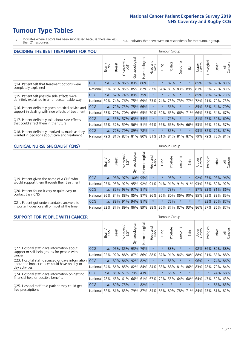\* Indicates where a score has been suppressed because there are less than 21 responses.

n.a. Indicates that there were no respondents for that tumour group.

| <b>DECIDING THE BEST TREATMENT FOR YOU</b>         |            |       |               |                        |                |                |                        |          | <b>Tumour Group</b> |                                     |         |                 |            |                 |                |
|----------------------------------------------------|------------|-------|---------------|------------------------|----------------|----------------|------------------------|----------|---------------------|-------------------------------------|---------|-----------------|------------|-----------------|----------------|
|                                                    |            | Brain | <b>Breast</b> | olorectal.<br>LGT<br>Ū | Gynaecological | Haematological | ad and<br>Neck<br>Head | Lung     | Prostate            | Sarcoma                             | Skin    | Upper<br>Gastro | Jrological | Other           | All<br>Cancers |
| Q14. Patient felt that treatment options were      | CCG        | n.a.  | 75%           | 86%                    | 83%            | 86%            | $\star$                | $\star$  | 82%                 | $\star$                             |         | 85%             |            | 93% 82%         | 83%            |
| completely explained                               | National   | 85%   | 85%           |                        | 85% 85%        | 82%            | 87%                    | 84%      | 83%                 | 83%                                 | 89%     | 81%             |            | 83% 79% 83%     |                |
| Q15. Patient felt possible side effects were       | <b>CCG</b> | n.a.  | 67%           | 74%                    | 89%            | 75%            | $\star$                | $\star$  | 73%                 | $^\star$                            |         |                 |            | 85% 88% 67% 73% |                |
| definitely explained in an understandable way      | National   | 69%   | 74%           | 76%                    | 75%            | 69%            | 73%                    | 74%      | 73%                 | 73%                                 | 77%     | 72%             | 71%        | 70% 73%         |                |
| Q16. Patient definitely given practical advice and | CCG        | n.a.  | <b>72%</b>    | 73%                    | 75%            | 66%            | $\ast$                 | $^\star$ | 56%                 | $\star$                             |         | 85%             |            | 68% 64% 70%     |                |
| support in dealing with side effects of treatment  | National   | 63%   | 70%           | 70%                    | 69%            |                | 65% 70%                | 69%      | 65%                 | 66%                                 | 71%     | 66%             |            | 63% 64%         | 67%            |
| Q17. Patient definitely told about side effects    | CCG        | n.a.  |               | 55% 57%                | 63%            | 54%            | $\star$                | $^\star$ | 71%                 | $\star$                             | $\star$ | 81%             | 77%        | 50%             | 60%            |
| that could affect them in the future               | National   | 62%   | 57%           | 59%                    | 56%            | 51%            | 64%                    | 56%      | 66%                 | 54%                                 | 66%     | 53%             |            | 56% 52%         | 57%            |
| Q18. Patient definitely involved as much as they   | CCG        | n.a.  | <b>77%</b>    | 79%                    | 89% 78%        |                | $\star$                | $\star$  | 85%                 | $\star$                             |         |                 |            | 93% 82% 79% 81% |                |
| wanted in decisions about care and treatment       | National   | 79%   |               |                        |                |                |                        |          |                     | 81% 83% 81% 80% 81% 81% 84% 81% 87% |         | 79%             |            | 79% 78% 81%     |                |

#### **CLINICAL NURSE SPECIALIST (CNS)** Tumour Group

|                                             |            | Brain | <b>Breast</b> | Colorectal<br>LGT | Gynaecologic            | $\overline{\sigma}$<br>Ü<br>aematologi | Head and<br>Neck | Lung    | Prostate | Sarcoma | Skin    | Upper<br>Gastro | ᆕ<br>Irologica | Other                                               | All<br>Cancers |
|---------------------------------------------|------------|-------|---------------|-------------------|-------------------------|----------------------------------------|------------------|---------|----------|---------|---------|-----------------|----------------|-----------------------------------------------------|----------------|
| Q19. Patient given the name of a CNS who    | <b>CCG</b> | n.a.  |               |                   | 98% 97% 100% 95%        |                                        | $\star$          |         | 95%      | $\star$ | *       | 92%             |                | 87% 98% 96%                                         |                |
| would support them through their treatment  | National   |       |               |                   | 95% 95% 92% 95% 92% 91% |                                        |                  |         |          |         |         |                 |                | 94% 91% 91% 91% 93% 85% 89%                         | 92%            |
| Q20. Patient found it very or quite easy to | CCG        | n.a.  |               |                   | 85% 93% 97% 81%         |                                        | $\star$          | $\star$ | 73%      | $\star$ | $\star$ |                 |                | 87% 83% 81% 86%                                     |                |
| contact their CNS                           | National   |       |               |                   | 86% 84% 88% 85%         |                                        | 87% 86% 86% 80%  |         |          |         |         | 86% 90% 85%     |                | 83% 83%                                             | 85%            |
| Q21. Patient got understandable answers to  | CCG        | n.a.  |               | 89% 91%           | 94%                     | 81%                                    | $\star$          | $\star$ | 75%      | $\star$ | $\star$ | $\star$         |                | 83% 80%                                             | 87%            |
| important questions all or most of the time | National   |       |               |                   | 82%   87%   89%   86%   |                                        |                  |         |          |         |         |                 |                | 89%   88%   86%   87%   87%   93%   86%   87%   86% | 87%            |

| <b>SUPPORT FOR PEOPLE WITH CANCER</b>                                                             |            |       |               |                        |                                     |                |                        |             | Tumour Group |         |         |                 |           |          |                |
|---------------------------------------------------------------------------------------------------|------------|-------|---------------|------------------------|-------------------------------------|----------------|------------------------|-------------|--------------|---------|---------|-----------------|-----------|----------|----------------|
|                                                                                                   |            | Brain | <b>Breast</b> | olorectal.<br>LGT<br>Ũ | $\overline{\sigma}$<br>Gynaecologic | Haematological | ad and<br>Neck<br>Head | Lung        | Prostate     | Sarcoma | Skin    | Upper<br>Gastro | Jrologica | Other    | All<br>Cancers |
| Q22. Hospital staff gave information about<br>support or self-help groups for people with         | <b>CCG</b> | n.a.  | 95%           | 85%                    | 93%                                 | 79%            | $\star$                | $\star$     | 83%          | $\star$ |         | 92%             | 86%       | 80% 88%  |                |
| cancer                                                                                            | National   | 92%   | 92%           | 88%                    | 87%                                 | 86%            | 88%                    | 87%         | 91%          | 86%     | 90%     | 88%             | 81%       | 83%      | 88%            |
| Q23. Hospital staff discussed or gave information<br>about the impact cancer could have on day to | CCG        | n.a.  |               | 89% 86% 92%            |                                     | 82%            | $\star$                | $\star$     | 85%          | $\star$ | $\star$ | 96%             | $\star$   | 74%      | 86%            |
| day activities                                                                                    | National   | 84%   | 86%           | 85%                    | 82%                                 | 84%            | 84%                    | 83%         | 88%          | 81%     | 86%     | 83%             | 78%       | 79%      | 84%            |
| Q24. Hospital staff gave information on getting                                                   | CCG        | n.a.  |               | 85% 51%                |                                     | 79% 43%        | $\star$                | $\star$     | 65%          | $\star$ | $\star$ | $\star$         | $^\star$  | 74%      | 68%            |
| financial help or possible benefits                                                               | National   | 78%   | 68%           | 61%                    | 66%                                 | 61%            | 67%                    | 72%         | 55%          | 64%     | 60%     | 64%             | 47%       | 59%      | 63%            |
| Q25. Hospital staff told patient they could get                                                   | <b>CCG</b> | n.a.  | 89%           | 75%                    | $\star$                             | 82%            | $\star$                | $\star$     | $\star$      | $\star$ | $\star$ | $\star$         | $\star$   |          | 86% 83%        |
| free prescriptions                                                                                | National   | 82%   | 81% 83%       |                        | 79%                                 | 87%            |                        | 84% 86% 80% |              |         | 78% 71% | $84\%$          | 73%       | $ 81\% $ | 82%            |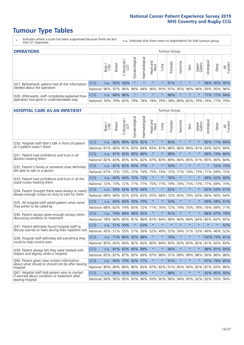- \* Indicates where a score has been suppressed because there are less than 21 responses.
- n.a. Indicates that there were no respondents for that tumour group.

| <b>OPERATIONS</b>                                |            |       |               |               |                   |                |                         |         | Tumour Group |         |         |                 |                                                       |             |                |
|--------------------------------------------------|------------|-------|---------------|---------------|-------------------|----------------|-------------------------|---------|--------------|---------|---------|-----------------|-------------------------------------------------------|-------------|----------------|
|                                                  |            | Brain | <b>Breast</b> | Colorectal    | ক<br>Gynaecologic | Haematological | Head and<br>Neck        | Lung    | Prostate     | Sarcoma | Skin    | Upper<br>Gastro | $\sigma$<br>Jrologica                                 | Other       | All<br>Cancers |
| Q27. Beforehand, patient had all the information | CCG        |       |               | n.a. 93% 100% | $\star$           | $\star$        | $\star$                 | $\star$ | 91%          | $\star$ | $\star$ |                 |                                                       | 96% 95% 95% |                |
| needed about the operation                       | National   | 96%   |               | 97% 96%       | 96%               |                | 94% 96% 95% 97% 95% 96% |         |              |         |         | 96%             |                                                       | 95% 95% 96% |                |
| Q28. Afterwards, staff completely explained how  | <b>CCG</b> | n.a.  |               | 84% 86%       | $\star$           | $\star$        | $\star$                 | $\star$ | 86%          | $\star$ | $\star$ | $\star$         |                                                       | 77% 77% 84% |                |
| operation had gone in understandable way         | National   | 76%   |               | 79% 83%       |                   |                |                         |         |              |         |         |                 | 79%  78%  79%  79%  78%  80%  82%  79%  76%  77%  79% |             |                |

#### **HOSPITAL CARE AS AN INPATIENT** Tumour Group

|                                                                                                  |            | Brain | <b>Breast</b>        | Colorectal /<br>LGT | Gynaecological      | Haematological  | Head and<br>Neck | Lung    | Prostate | Sarcoma | Skin    | Upper<br>Gastro | Jrological                                              | Other        | All<br>Cancers |
|--------------------------------------------------------------------------------------------------|------------|-------|----------------------|---------------------|---------------------|-----------------|------------------|---------|----------|---------|---------|-----------------|---------------------------------------------------------|--------------|----------------|
| Q30. Hospital staff didn't talk in front of patient                                              | CCG        | n.a.  | 86%                  | 80%                 | 92%                 | 92%             | $\star$          | $\star$ | 85%      | $\star$ | $\star$ | $\star$         |                                                         | 85% 77% 84%  |                |
| as if patient wasn't there                                                                       | National   | 81%   |                      | 86% 81% 83%         |                     |                 | 84% 83% 81%      |         | 88%      | 86%     | 86%     | 81%             | 83%                                                     | 82%          | 84%            |
| 031. Patient had confidence and trust in all                                                     | CCG        | n.a.  |                      | 81% 82% 80% 86%     |                     |                 | $\star$          | $\star$ | 88%      | $\star$ | $\star$ |                 |                                                         | 96% 74% 84%  |                |
| doctors treating them                                                                            | National   | 82%   | 83%                  | 85%                 | 83%                 | 82%             | 87%              | 83%     | 89%      | 86%     | 85%     | 81%             | 85%                                                     | 80%          | 84%            |
| Q32. Patient's family or someone close definitely                                                | CCG        | n.a.  |                      | 67% 82% 90% 77%     |                     |                 | $\star$          | $\star$ | 59%      | $\star$ | $\star$ |                 | $\star$                                                 | 52% 73%      |                |
| felt able to talk to a doctor                                                                    | National   | 67%   | 72%                  | 73%                 | 72%                 | 74%             | 75%              | 74%     | 72%      | 71%     | 74%     | 73%             | 71%                                                     | 69%          | 72%            |
| Q33. Patient had confidence and trust in all the                                                 | CCG        | n.a.  | 60%                  | 64%                 | 72%                 | 72%             | $\star$          | $\star$ | 76%      | $\star$ | $\star$ | $\star$         |                                                         | 69% 63% 66%  |                |
| ward nurses treating them                                                                        | National   | 72%   | 73%                  | 72%                 |                     | 71% 77%         | 75%              | 77%     | 79%      | 74%     | 75%     | 73%             | 77%                                                     | 69%          | 74%            |
| Q34. Patient thought there were always or nearly                                                 | CCG        | n.a.  | 59%                  |                     | 62% 67% 64%         |                 | $\star$          | $\star$ | 62%      | $\star$ | $\star$ | $\star$         |                                                         | 62% 63% 61%  |                |
| always enough nurses on duty to care for them                                                    | National   | 68%   | 64%                  | 62%                 |                     | 63% 63% 65% 68% |                  |         | 72%      | 65%     |         | 70% 65%         |                                                         | 66% 60% 64%  |                |
| Q35. All hospital staff asked patient what name                                                  | CCG        | n.a.  |                      | 60% 60%             | 50%                 | 75%             | $\star$          | $\star$ | 54%      | $\star$ | $\star$ | $\star$         | 69%                                                     | 58%          | 61%            |
| they prefer to be called by                                                                      | National   | 68%   | 62%                  | 74%                 | 65%                 | 72%             | 71%              | 76%     | 72%      | 74%     | 70%     | 78%             | 76%                                                     | 69%          | 71%            |
| Q36. Patient always given enough privacy when                                                    | <b>CCG</b> | n.a.  | 74%                  | 84%                 | 68% 92%             |                 | $\star$          | $\star$ | 81%      | $\star$ | $\star$ |                 | 88%                                                     | 67%          | 79%            |
| discussing condition or treatment                                                                | National   | 78%   |                      | 84% 85% 81%         |                     |                 | 86% 87% 84%      |         | 88%      | 84%     | 84%     | 84%             | 85%                                                     | 82%          | 85%            |
| Q37. Patient definitely found hospital staff to                                                  | CCG        | n.a.  | 51%                  | 50%                 | $\star$             | 63%             | $\star$          | $\star$ | $\star$  | $\star$ | $\star$ | $\star$         | $\star$                                                 | $\star$      | 52%            |
| discuss worries or fears during their inpatient visit                                            | National   | 45%   | 51%                  | 55%                 | 51%                 | 56%             | 52%              | 49%     | 53%      | 54%     | 51%     | 53%             | 49%                                                     | 46%          | 52%            |
| Q38. Hospital staff definitely did everything they                                               | CCG        |       | n.a. 71% 86% 92% 88% |                     |                     |                 | $\star$          | $\star$ | 76%      | $\star$ | $\star$ |                 |                                                         | 100% 73% 81% |                |
| could to help control pain                                                                       | National   | 85%   | 83%                  |                     | 84% 82% 82% 80% 84% |                 |                  |         | 85%      | 83%     |         | 85% 82%         |                                                         | 81% 82%      | 83%            |
| Q39. Patient always felt they were treated with                                                  | CCG        | n.a.  |                      | 81% 82% 85% 89%     |                     |                 | $\star$          | $\star$ | 96%      | $\star$ | $\star$ | $\star$         |                                                         | 88% 81% 85%  |                |
| respect and dignity while in hospital                                                            | National   | 85%   | 87%                  | 87%                 | 85%                 | 89%             | 87%              | 88%     | 91%      | 89%     | 89%     | 88%             | 90%                                                     | 86%          | 88%            |
| Q40. Patient given clear written information<br>about what should or should not do after leaving | <b>CCG</b> | n.a.  |                      | 90% 75%             | 92%                 | 77%             | $\star$          | $\star$ | 91%      | $\star$ | $\star$ | $\star$         |                                                         | 91% 79% 85%  |                |
| hospital                                                                                         | National   | 80%   | 89%                  |                     | 86% 86% 83%         |                 |                  | 87% 82% | 91%      | 85%     | 90%     | 82%             | 87%                                                     | 83% 86%      |                |
| Q41. Hospital staff told patient who to contact<br>if worried about condition or treatment after | CCG        | n.a.  | 96%                  |                     | 93% 100% 89%        |                 | $\star$          | $\star$ | 88%      | $\ast$  | $\ast$  |                 |                                                         | 92% 85% 92%  |                |
| leaving hospital                                                                                 | National   |       |                      |                     |                     |                 |                  |         |          |         |         |                 | 94% 95% 95% 93% 96% 93% 92% 96% 94% 95% 92% 92% 93% 94% |              |                |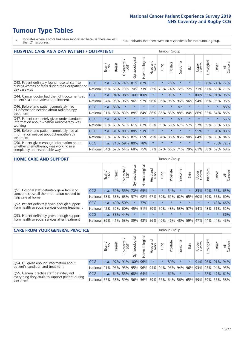# **Tumour Type Tables**

- \* Indicates where a score has been suppressed because there are less than 21 responses.
- n.a. Indicates that there were no respondents for that tumour group.

| <b>HOSPITAL CARE AS A DAY PATIENT / OUTPATIENT</b>                                   |            |       |               |                          |                |                |                        |          | <b>Tumour Group</b> |         |         |                 |            |         |                |
|--------------------------------------------------------------------------------------|------------|-------|---------------|--------------------------|----------------|----------------|------------------------|----------|---------------------|---------|---------|-----------------|------------|---------|----------------|
|                                                                                      |            | Brain | <b>Breast</b> | ╮<br>Colorectal /<br>LGT | Gynaecological | Haematological | ad and<br>Neck<br>Head | Lung     | Prostate            | Sarcoma | Skin    | Upper<br>Gastro | Urological | Other   | All<br>Cancers |
| Q43. Patient definitely found hospital staff to                                      | CCG        | n.a.  | 71%           | 74%                      | 81%            | 82%            | $\star$                | $^\star$ | 78%                 | $\star$ |         | $\star$         | 88%        | 71%     | 77%            |
| discuss worries or fears during their outpatient or<br>day case visit                | National   | 66%   | 68%           | 73%                      | 70%            | 73%            | 72%                    | 70%      | 74%                 | 72%     | 72%     | 71%             | 67%        | 68%     | 71%            |
| Q44. Cancer doctor had the right documents at                                        | <b>CCG</b> | n.a.  | 94%           |                          |                | 98% 100% 100%  | $\star$                | $\star$  | 93%                 | $\star$ |         | 100% 93%        |            | 91%     | 96%            |
| patient's last outpatient appointment                                                | National   | 94%   | 96%           | 96%                      | 96%            | 97%            | 96%                    | 96%      | 96%                 | 96%     | 96%     | 94%             | 96%        | 95%     | 96%            |
| Q46. Beforehand patient completely had                                               | <b>CCG</b> | n.a.  | 88%           | $\star$                  | $\star$        |                | $\star$                | $\star$  | $\star$             | n.a.    |         | $\star$         | $\star$    | $\ast$  | 88%            |
| all information needed about radiotherapy<br>treatment                               | National   | 91%   | 88%           | 83%                      | 88%            | 84%            | 86%                    | 86%      | 88%                 | 88%     | 84%     | 86%             | 83%        | 84%     | 86%            |
| Q47. Patient completely given understandable                                         | CCG        | n.a.  | 64%           | $\star$                  |                |                | $\star$                | $\star$  | $\star$             | n.a.    | $\star$ | $\star$         | $\star$    | $\ast$  | 65%            |
| information about whether radiotherapy was<br>working                                | National   | 56%   | 60%           | 57%                      | 61%            | 62%            | 63%                    | 59%      | 60%                 | 67%     | 57%     | 52%             | 59%        | 59%     | 60%            |
| Q49. Beforehand patient completely had all                                           | CCG        | n.a.  | 81%           | 89%                      | 88%            | 93%            | $\star$                | $\star$  | $\star$             | $\star$ | $\star$ | 95%             | $\star$    | 81% 88% |                |
| information needed about chemotherapy<br>treatment                                   | National   | 80%   | 82%           | 86%                      | 87%            | 85%            | 79%                    | 84%      | 86%                 | 86%     | 90%     | 84%             | 85%        | 85%     | 84%            |
| Q50. Patient given enough information about<br>whether chemotherapy was working in a | <b>CCG</b> | n.a.  | <b>71%</b>    | 59%                      | 80%            | 78%            | $\star$                | $\star$  | $\star$             | $\star$ | $\star$ | $\star$         | $\star$    | 75%     | 72%            |
| completely understandable way                                                        | National   | 54%   | 62%           | 64%                      | 68%            | 75%            |                        | 57% 67%  | 66%                 | 71%     | 79%     | 61%             | 68%        | 69%     | 68%            |

#### **HOME CARE AND SUPPORT** Tumour Group

|                                                                                                                   |            | Brain | <b>Breast</b> | Colorectal<br>LGT | ᢛ<br>Gynaecologic | Haematological | Head and<br>Neck | <b>Dung</b>         | Prostate | Sarcoma | Skin    | Upper<br>Gastro | Urological  | Other   | All<br>Cancers |
|-------------------------------------------------------------------------------------------------------------------|------------|-------|---------------|-------------------|-------------------|----------------|------------------|---------------------|----------|---------|---------|-----------------|-------------|---------|----------------|
| Q51. Hospital staff definitely gave family or<br>someone close all the information needed to<br>help care at home | <b>CCG</b> | n.a.  |               | 59% 55%           |                   | 70% 65%        | $\ast$           | $\star$             | 54%      | $\ast$  |         | 83%             | 64%         | 56% 63% |                |
|                                                                                                                   | National   | 58%   |               | 58% 63%           |                   |                |                  | 57% 62% 67% 59% 61% |          |         | 62% 65% |                 | 60% 59% 55% |         | 60%            |
| Q52. Patient definitely given enough support<br>from health or social services during treatment                   | <b>CCG</b> | n.a.  | 49% 50%       |                   | $\star$           | 37%            | $\star$          | $\star$             | $\star$  |         |         | $\star$         | $\star$     | 43% 46% |                |
|                                                                                                                   | National   | 42%   | 52%           | 60%               |                   | 45% 51%        | 59%              | 50%                 | 48%      |         | 53% 57% |                 | 54% 48% 51% |         | 52%            |
| Q53. Patient definitely given enough support<br>from health or social services after treatment                    | <b>CCG</b> | n.a.  |               | 38% 44%           |                   | $\star$        | $\star$          | $\star$             | $\star$  | $\star$ | $\star$ | $\star$         | $\star$     | $\star$ | 36%            |
|                                                                                                                   | National l | 39%   | 41% 53%       |                   | 39%               | $ 43\% $       | 56%              | 40%                 | 46%      |         | 48% 59% | 47%             | 44%         | 44%     | 45%            |

| <b>CARE FROM YOUR GENERAL PRACTICE</b>                                                                     |                                                                  |        |               |                   |                  |                | Tumour Group     |         |                             |         |         |                 |                 |             |                |
|------------------------------------------------------------------------------------------------------------|------------------------------------------------------------------|--------|---------------|-------------------|------------------|----------------|------------------|---------|-----------------------------|---------|---------|-----------------|-----------------|-------------|----------------|
|                                                                                                            |                                                                  | Brain, | <b>Breast</b> | Colorectal<br>LGT | Gynaecological   | Haematological | Head and<br>Neck | Lung    | Prostate                    | Sarcoma | Skin    | Upper<br>Gastro | Urological      | Other       | All<br>Cancers |
| Q54. GP given enough information about<br>patient's condition and treatment                                | CCG                                                              | n.a.   |               |                   | 97% 91% 100% 96% |                | $\star$          | $\star$ | 89%                         | $\star$ |         |                 | 91% 96% 91% 94% |             |                |
|                                                                                                            | National 91% 96% 95% 95% 96% 94% 94% 96% 94% 96% 93% 95% 94% 95% |        |               |                   |                  |                |                  |         |                             |         |         |                 |                 |             |                |
| Q55. General practice staff definitely did<br>everything they could to support patient during<br>treatment | <b>CCG</b>                                                       | n.a.   |               |                   | 64% 55% 68% 64%  |                | $\star$          | $\star$ | 61%                         | $\star$ | $\star$ | $\star$         |                 | 62% 47% 61% |                |
|                                                                                                            | National 55%                                                     |        |               | 58% 59%           |                  |                | 56%   56%   59%  |         | 56% 64% 56% 65% 59% 59% 55% |         |         |                 |                 |             | 58%            |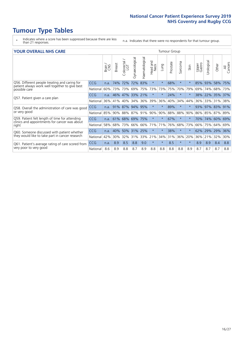- \* Indicates where a score has been suppressed because there are less than 21 responses.
- n.a. Indicates that there were no respondents for that tumour group.

#### **YOUR OVERALL NHS CARE** THE CONSTRUCTION OF THE THROUP GROUP TUMOUR GROUP

| <u>UUN UTENTEE ITIIJ GANE</u>                                                                                    |            |       |               |                       |                |                |                                 |          |          |                      |         |                 |                            |             |                |
|------------------------------------------------------------------------------------------------------------------|------------|-------|---------------|-----------------------|----------------|----------------|---------------------------------|----------|----------|----------------------|---------|-----------------|----------------------------|-------------|----------------|
|                                                                                                                  |            | Brain | <b>Breast</b> | olorectal<br>LGT<br>Ū | Gynaecological | Haematological | <b>Bad and<br/>Neck</b><br>Head | Lung     | Prostate | arcoma<br>$\sqrt{ }$ | Skin    | Upper<br>Gastro | $\overline{c}$<br>Urologia | Other       | All<br>Cancers |
| Q56. Different people treating and caring for<br>patient always work well together to give best<br>possible care | <b>CCG</b> | n.a.  | 74%           | 72%                   | 72%            | 83%            | $\star$                         | $\star$  | 68%      | $\star$              | $\star$ | 85%             | 93%                        | 58%         | 75%            |
|                                                                                                                  | National   | 60%   |               | 73% 73%               | 69%            | 75%            | 73%                             | 73%      | 75%      | 70%                  | 79%     | 69%             | 74%                        | 68%         | 73%            |
| Q57. Patient given a care plan                                                                                   | CCG        | n.a.  |               | 46% 47%               | 33% 21%        |                | $\star$                         | $^\star$ | 24%      | $\star$              | $\star$ | 38% 22%         |                            | 35% 37%     |                |
|                                                                                                                  | National   | 36%   | 41%           | 40%                   | 34%            | 36%            | 39%                             | 36%      | 40%      | 34%                  | 44%     | 36%             | 33%                        | 31%         | 38%            |
| Q58. Overall the administration of care was good<br>or very good                                                 | <b>CCG</b> | n.a.  |               | 91% 87%               | 94% 95%        |                | $\star$                         | $^\star$ | 89%      | $\star$              | $\star$ | 93%             | 97%                        | 83%         | 91%            |
|                                                                                                                  | National   | 85%   |               | 90% 88%               | 87% 91%        |                | 90%                             | 90%      | 88%      | 88%                  | 90%     | 86%             |                            | 85% 87% 89% |                |
| Q59. Patient felt length of time for attending<br>clinics and appointments for cancer was about<br>right         | CCG        | n.a.  |               |                       | 61% 68% 69%    | 75%            | $\star$                         | $^\star$ | 67%      | $\star$              | $\star$ | 70%             | 74%                        | 60% 69%     |                |
|                                                                                                                  | National   | 58%   | 68%           | 73%                   | 66%            | 66%            | 71%                             | 71%      | 76%      | 68%                  | 73%     | 66%             | 75%                        | 64%         | 69%            |
| Q60. Someone discussed with patient whether<br>they would like to take part in cancer research                   | <b>CCG</b> | n.a.  | 40%           | 50%                   | 31%            | 25%            | $\star$                         | $^\star$ | 38%      | $\star$              | $\star$ | 62%             | 29%                        | 29%         | 36%            |
|                                                                                                                  | National   | 42%   | 30%           | 32%                   | 31%            | 33%            | 21%                             | 34%      | 31%      | 36%                  | 20%     | 36%             | 21%                        | 32%         | 30%            |
| Q61. Patient's average rating of care scored from<br>very poor to very good                                      | CCG        | n.a.  | 8.9           | 8.5                   | 8.8            | 9.0            | $\star$                         | $^\star$ | 8.5      | $\star$              | $\star$ | 8.9             | 8.9                        | 8.4         | 8.8            |
|                                                                                                                  | National   | 8.6   | 8.9           | 8.8                   | 8.7            | 8.9            | 8.8                             | 8.8      | 8.8      | 8.8                  | 8.9     | 8.7             | 8.7                        | 8.7         | 8.8            |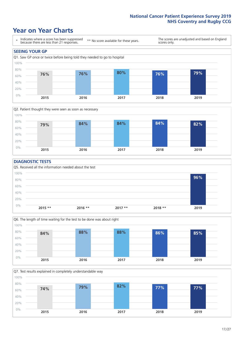### **Year on Year Charts**





#### **DIAGNOSTIC TESTS**





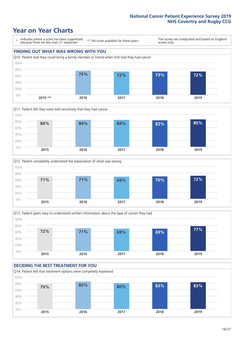







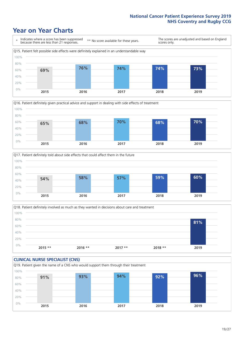





Q18. Patient definitely involved as much as they wanted in decisions about care and treatment  $0%$ 20% 40% 60% 80% 100% **2015 \*\* 2016 \*\* 2017 \*\* 2018 \*\* 2019 81%**

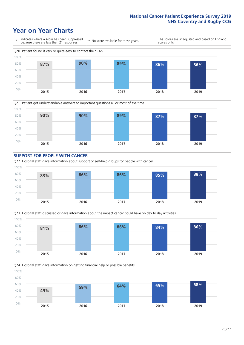







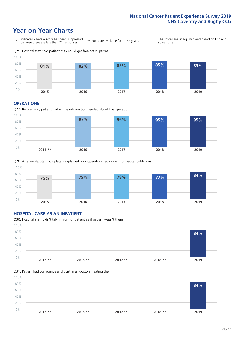### **Year on Year Charts**



#### **OPERATIONS**





#### **HOSPITAL CARE AS AN INPATIENT** Q30. Hospital staff didn't talk in front of patient as if patient wasn't there 0% 20% 40% 60% 80% 100% **2015 \*\* 2016 \*\* 2017 \*\* 2018 \*\* 2019 84%**

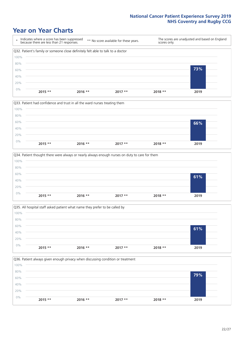







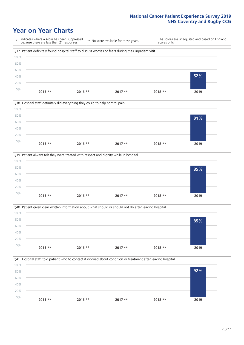







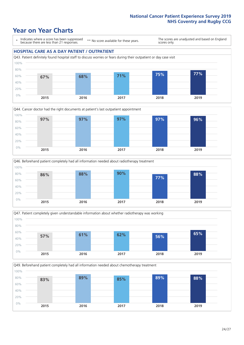### **Year on Year Charts**

\* Indicates where a score has been suppressed because there are less than 21 responses.

\*\* No score available for these years.

The scores are unadjusted and based on England scores only.

#### **HOSPITAL CARE AS A DAY PATIENT / OUTPATIENT**









Q49. Beforehand patient completely had all information needed about chemotherapy treatment 0% 20% 40% 60% 80% 100% **2015 2016 2017 2018 2019 83% 89% 85% 89% 88%**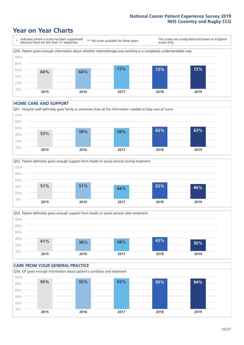### **Year on Year Charts**



#### **HOME CARE AND SUPPORT**







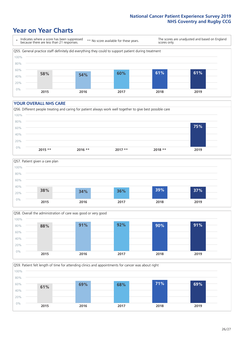### **Year on Year Charts**

\* Indicates where a score has been suppressed because there are less than 21 responses. \*\* No score available for these years. The scores are unadjusted and based on England scores only. Q55. General practice staff definitely did everything they could to support patient during treatment 0% 20% 40% 60% 80% 100% **2015 2016 2017 2018 2019 58% 54% 60% 61% 61%**

#### **YOUR OVERALL NHS CARE**







Q59. Patient felt length of time for attending clinics and appointments for cancer was about right